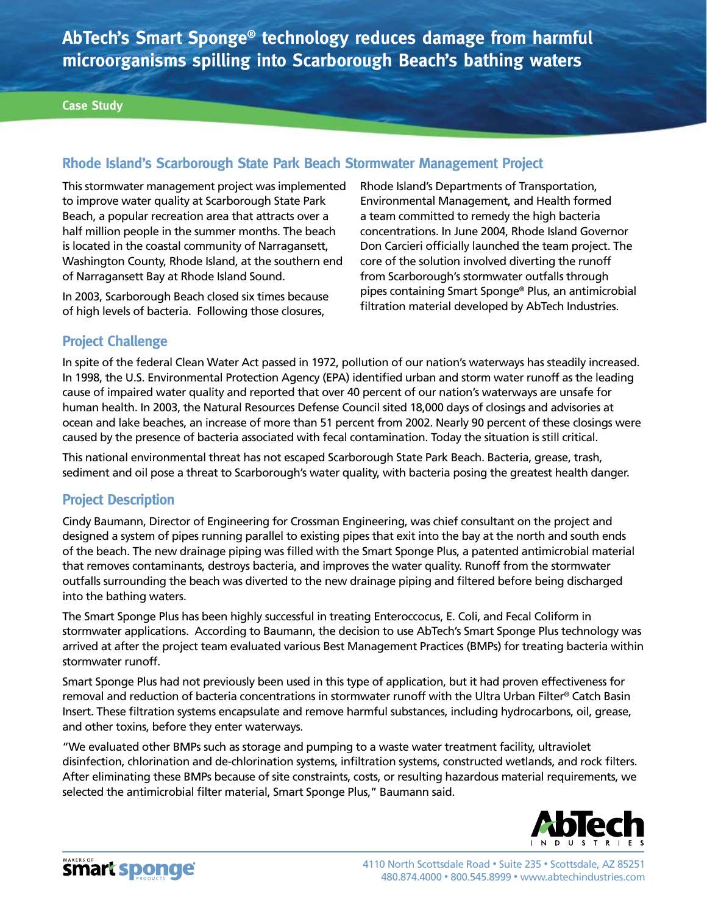**AbTech's Smart Sponge® technology reduces damage from harmful microorganisms spilling into Scarborough Beach's bathing waters**

# **Rhode Island's Scarborough State Park Beach Stormwater Management Project**

This stormwater management project was implemented to improve water quality at Scarborough State Park Beach, a popular recreation area that attracts over a half million people in the summer months. The beach is located in the coastal community of Narragansett, Washington County, Rhode Island, at the southern end of Narragansett Bay at Rhode Island Sound.

In 2003, Scarborough Beach closed six times because of high levels of bacteria. Following those closures,

Rhode Island's Departments of Transportation, Environmental Management, and Health formed a team committed to remedy the high bacteria concentrations. In June 2004, Rhode Island Governor Don Carcieri officially launched the team project. The core of the solution involved diverting the runoff from Scarborough's stormwater outfalls through pipes containing Smart Sponge® Plus, an antimicrobial filtration material developed by AbTech Industries.

## **Project Challenge**

In spite of the federal Clean Water Act passed in 1972, pollution of our nation's waterways has steadily increased. In 1998, the U.S. Environmental Protection Agency (EPA) identified urban and storm water runoff as the leading cause of impaired water quality and reported that over 40 percent of our nation's waterways are unsafe for human health. In 2003, the Natural Resources Defense Council sited 18,000 days of closings and advisories at ocean and lake beaches, an increase of more than 51 percent from 2002. Nearly 90 percent of these closings were caused by the presence of bacteria associated with fecal contamination. Today the situation is still critical.

This national environmental threat has not escaped Scarborough State Park Beach. Bacteria, grease, trash, sediment and oil pose a threat to Scarborough's water quality, with bacteria posing the greatest health danger.

## **Project Description**

Cindy Baumann, Director of Engineering for Crossman Engineering, was chief consultant on the project and designed a system of pipes running parallel to existing pipes that exit into the bay at the north and south ends of the beach. The new drainage piping was filled with the Smart Sponge Plus, a patented antimicrobial material that removes contaminants, destroys bacteria, and improves the water quality. Runoff from the stormwater outfalls surrounding the beach was diverted to the new drainage piping and filtered before being discharged into the bathing waters.

The Smart Sponge Plus has been highly successful in treating Enteroccocus, E. Coli, and Fecal Coliform in stormwater applications. According to Baumann, the decision to use AbTech's Smart Sponge Plus technology was arrived at after the project team evaluated various Best Management Practices (BMPs) for treating bacteria within stormwater runoff.

Smart Sponge Plus had not previously been used in this type of application, but it had proven effectiveness for removal and reduction of bacteria concentrations in stormwater runoff with the Ultra Urban Filter® Catch Basin Insert. These filtration systems encapsulate and remove harmful substances, including hydrocarbons, oil, grease, and other toxins, before they enter waterways.

"We evaluated other BMPs such as storage and pumping to a waste water treatment facility, ultraviolet disinfection, chlorination and de-chlorination systems, infiltration systems, constructed wetlands, and rock filters. After eliminating these BMPs because of site constraints, costs, or resulting hazardous material requirements, we selected the antimicrobial filter material, Smart Sponge Plus," Baumann said.